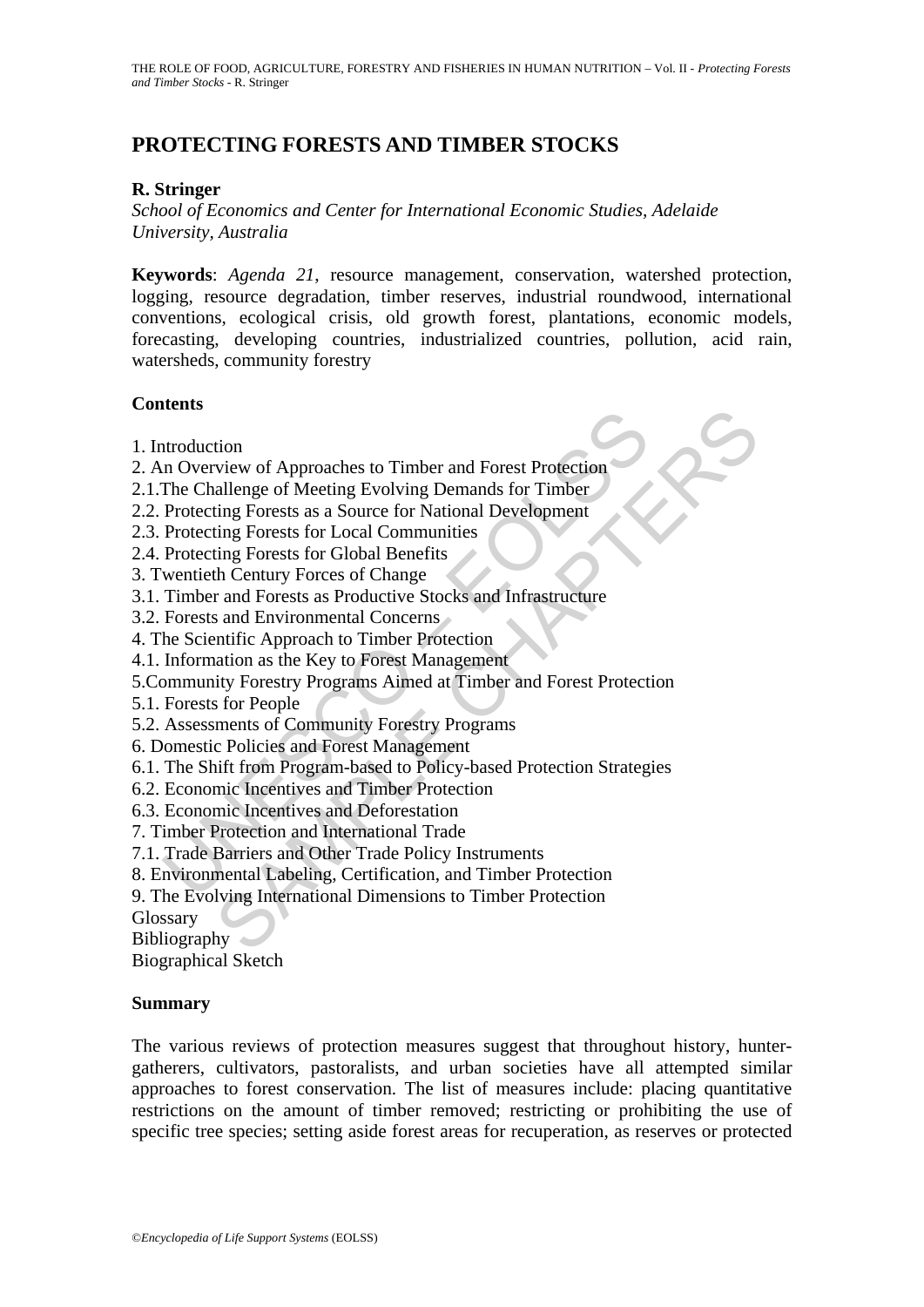# **PROTECTING FORESTS AND TIMBER STOCKS**

# **R. Stringer**

*School of Economics and Center for International Economic Studies, Adelaide University, Australia* 

**Keywords**: *Agenda 21*, resource management, conservation, watershed protection, logging, resource degradation, timber reserves, industrial roundwood, international conventions, ecological crisis, old growth forest, plantations, economic models, forecasting, developing countries, industrialized countries, pollution, acid rain, watersheds, community forestry

# **Contents**

- 1. Introduction
- 2. An Overview of Approaches to Timber and Forest Protection
- 2.1.The Challenge of Meeting Evolving Demands for Timber
- 2.2. Protecting Forests as a Source for National Development
- 2.3. Protecting Forests for Local Communities
- 2.4. Protecting Forests for Global Benefits
- 3. Twentieth Century Forces of Change
- 3.1. Timber and Forests as Productive Stocks and Infrastructure
- 3.2. Forests and Environmental Concerns
- 4. The Scientific Approach to Timber Protection
- 4.1. Information as the Key to Forest Management
- ntroduction<br>
In Overview of Approaches to Timber and Forest Protection<br>
The Challenge of Meeting Evolving Demands for Timber<br>
Protecting Forests as a Source for National Development<br>
Protecting Forests as Coural Communitie tion<br>wiew of Approaches to Timber and Forest Profection<br>view of Approaches to Timber and Forest Profection<br>dallenge of Meeting Evolving Demands for Timber<br>ting Forests are a Source for National Development<br>ing Forests for 5.Community Forestry Programs Aimed at Timber and Forest Protection
- 5.1. Forests for People
- 5.2. Assessments of Community Forestry Programs
- 6. Domestic Policies and Forest Management
- 6.1. The Shift from Program-based to Policy-based Protection Strategies
- 6.2. Economic Incentives and Timber Protection
- 6.3. Economic Incentives and Deforestation
- 7. Timber Protection and International Trade
- 7.1. Trade Barriers and Other Trade Policy Instruments
- 8. Environmental Labeling, Certification, and Timber Protection
- 9. The Evolving International Dimensions to Timber Protection

Glossary

Bibliography

Biographical Sketch

#### **Summary**

The various reviews of protection measures suggest that throughout history, huntergatherers, cultivators, pastoralists, and urban societies have all attempted similar approaches to forest conservation. The list of measures include: placing quantitative restrictions on the amount of timber removed; restricting or prohibiting the use of specific tree species; setting aside forest areas for recuperation, as reserves or protected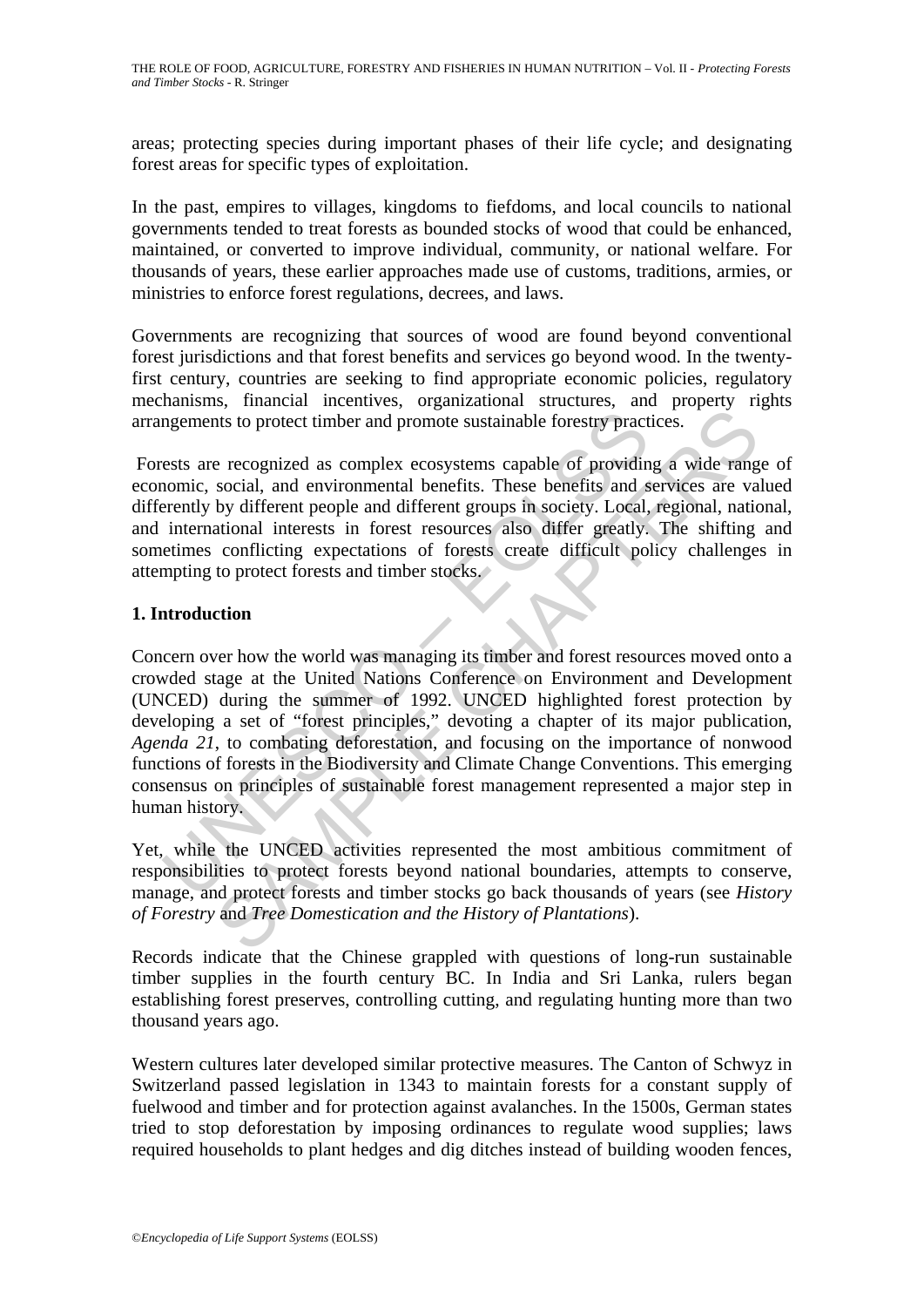areas; protecting species during important phases of their life cycle; and designating forest areas for specific types of exploitation.

In the past, empires to villages, kingdoms to fiefdoms, and local councils to national governments tended to treat forests as bounded stocks of wood that could be enhanced, maintained, or converted to improve individual, community, or national welfare. For thousands of years, these earlier approaches made use of customs, traditions, armies, or ministries to enforce forest regulations, decrees, and laws.

Governments are recognizing that sources of wood are found beyond conventional forest jurisdictions and that forest benefits and services go beyond wood. In the twentyfirst century, countries are seeking to find appropriate economic policies, regulatory mechanisms, financial incentives, organizational structures, and property rights arrangements to protect timber and promote sustainable forestry practices.

 Forests are recognized as complex ecosystems capable of providing a wide range of economic, social, and environmental benefits. These benefits and services are valued differently by different people and different groups in society. Local, regional, national, and international interests in forest resources also differ greatly. The shifting and sometimes conflicting expectations of forests create difficult policy challenges in attempting to protect forests and timber stocks.

# **1. Introduction**

magnements to protect timber and promote sustainable forestry pract<br>ests are recognized as complex ecosystems capable of providin<br>nomic, social, and environmental benefits. These benefits and s<br>rerently by different prople that to protect timber and promote sustainable forestry practices.<br>
a recognized as complex ecosystems capable of providing a wide rang<br>
social, and environmental benefits. These benefits and services are va<br>
by different Concern over how the world was managing its timber and forest resources moved onto a crowded stage at the United Nations Conference on Environment and Development (UNCED) during the summer of 1992. UNCED highlighted forest protection by developing a set of "forest principles," devoting a chapter of its major publication, *Agenda 21*, to combating deforestation, and focusing on the importance of nonwood functions of forests in the Biodiversity and Climate Change Conventions. This emerging consensus on principles of sustainable forest management represented a major step in human history.

Yet, while the UNCED activities represented the most ambitious commitment of responsibilities to protect forests beyond national boundaries, attempts to conserve, manage, and protect forests and timber stocks go back thousands of years (see *History of Forestry* and *Tree Domestication and the History of Plantations*).

Records indicate that the Chinese grappled with questions of long-run sustainable timber supplies in the fourth century BC. In India and Sri Lanka, rulers began establishing forest preserves, controlling cutting, and regulating hunting more than two thousand years ago.

Western cultures later developed similar protective measures. The Canton of Schwyz in Switzerland passed legislation in 1343 to maintain forests for a constant supply of fuelwood and timber and for protection against avalanches. In the 1500s, German states tried to stop deforestation by imposing ordinances to regulate wood supplies; laws required households to plant hedges and dig ditches instead of building wooden fences,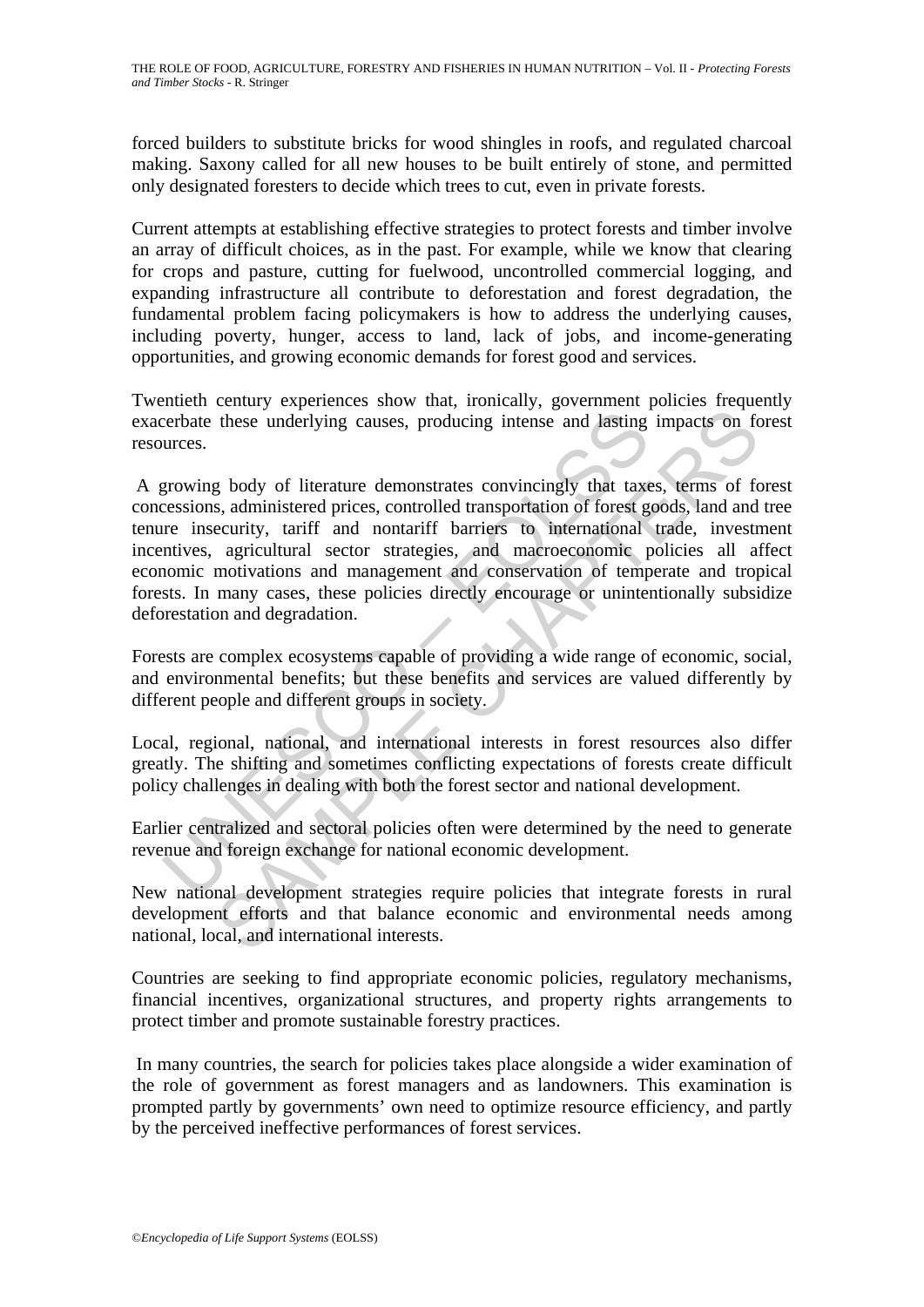forced builders to substitute bricks for wood shingles in roofs, and regulated charcoal making. Saxony called for all new houses to be built entirely of stone, and permitted only designated foresters to decide which trees to cut, even in private forests.

Current attempts at establishing effective strategies to protect forests and timber involve an array of difficult choices, as in the past. For example, while we know that clearing for crops and pasture, cutting for fuelwood, uncontrolled commercial logging, and expanding infrastructure all contribute to deforestation and forest degradation, the fundamental problem facing policymakers is how to address the underlying causes, including poverty, hunger, access to land, lack of jobs, and income-generating opportunities, and growing economic demands for forest good and services.

Twentieth century experiences show that, ironically, government policies frequently exacerbate these underlying causes, producing intense and lasting impacts on forest resources.

erbate these underlying causes, producing intense and lasting<br>
urces.<br>
growing body of literature demonstrates convincingly that taxe<br>
eressions, administered prices, controlled transportation of forest g<br>
ere insecurity, these underlying causes, producing intense and lasting impacts on for these underlying causes, producing intense and lasting impacts on formulation of the state and interactions and material process controlled transportati A growing body of literature demonstrates convincingly that taxes, terms of forest concessions, administered prices, controlled transportation of forest goods, land and tree tenure insecurity, tariff and nontariff barriers to international trade, investment incentives, agricultural sector strategies, and macroeconomic policies all affect economic motivations and management and conservation of temperate and tropical forests. In many cases, these policies directly encourage or unintentionally subsidize deforestation and degradation.

Forests are complex ecosystems capable of providing a wide range of economic, social, and environmental benefits; but these benefits and services are valued differently by different people and different groups in society.

Local, regional, national, and international interests in forest resources also differ greatly. The shifting and sometimes conflicting expectations of forests create difficult policy challenges in dealing with both the forest sector and national development.

Earlier centralized and sectoral policies often were determined by the need to generate revenue and foreign exchange for national economic development.

New national development strategies require policies that integrate forests in rural development efforts and that balance economic and environmental needs among national, local, and international interests.

Countries are seeking to find appropriate economic policies, regulatory mechanisms, financial incentives, organizational structures, and property rights arrangements to protect timber and promote sustainable forestry practices.

 In many countries, the search for policies takes place alongside a wider examination of the role of government as forest managers and as landowners. This examination is prompted partly by governments' own need to optimize resource efficiency, and partly by the perceived ineffective performances of forest services.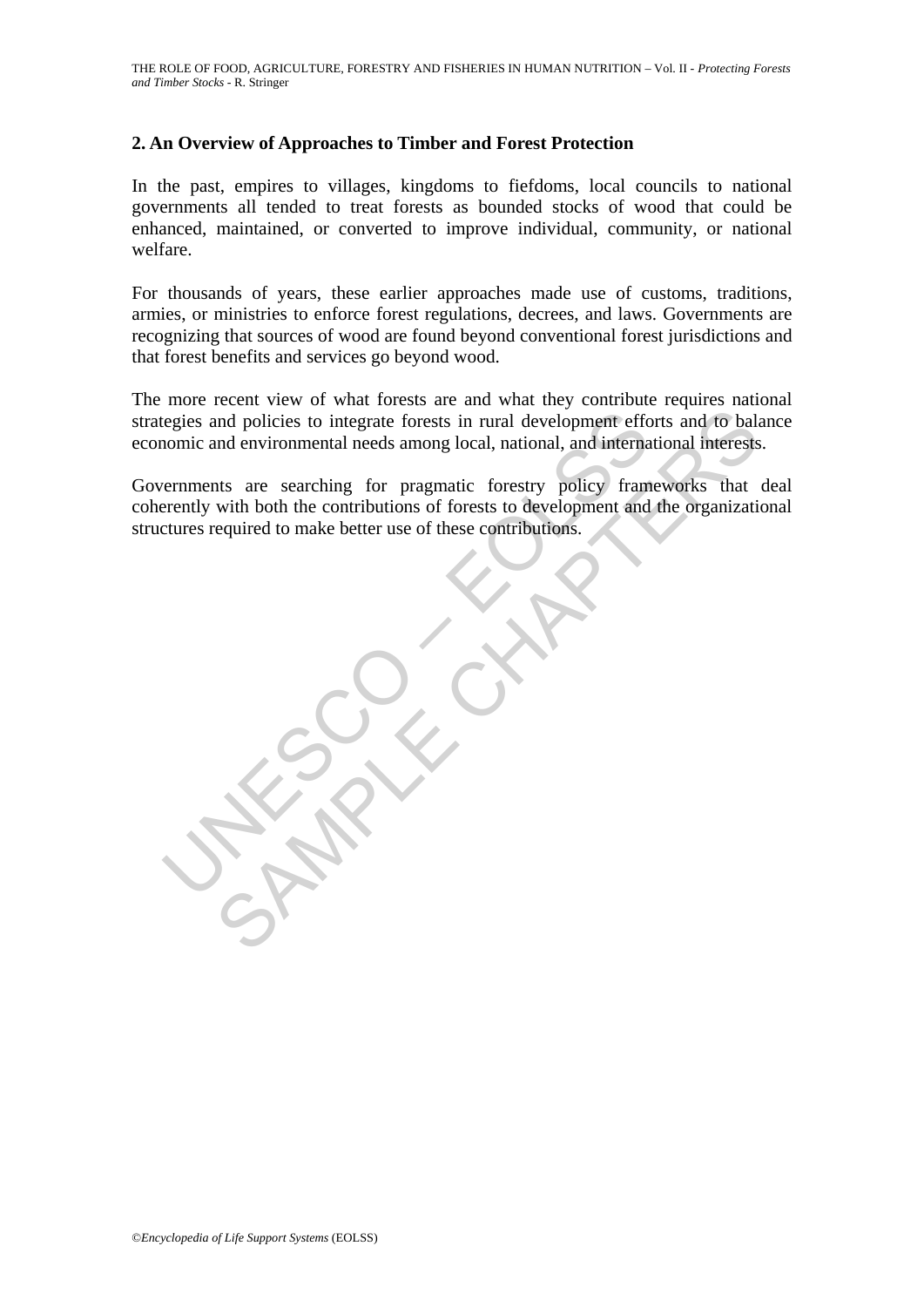# **2. An Overview of Approaches to Timber and Forest Protection**

In the past, empires to villages, kingdoms to fiefdoms, local councils to national governments all tended to treat forests as bounded stocks of wood that could be enhanced, maintained, or converted to improve individual, community, or national welfare.

For thousands of years, these earlier approaches made use of customs, traditions, armies, or ministries to enforce forest regulations, decrees, and laws. Governments are recognizing that sources of wood are found beyond conventional forest jurisdictions and that forest benefits and services go beyond wood.

The more recent view of what forests are and what they contribute requires national strategies and policies to integrate forests in rural development efforts and to balance economic and environmental needs among local, national, and international interests.

Egies and policies to integrate forests in rural development efficionic and environmental needs among local, national, and internal<br>errnments are searching for pragmatic forestry policy framerently with both the contributi and policies to integrate forests in rural development efforts and to ball and environmental needs among local, national, and international interests<br>and environmental needs among local, national, and international interes Governments are searching for pragmatic forestry policy frameworks that deal coherently with both the contributions of forests to development and the organizational structures required to make better use of these contributions.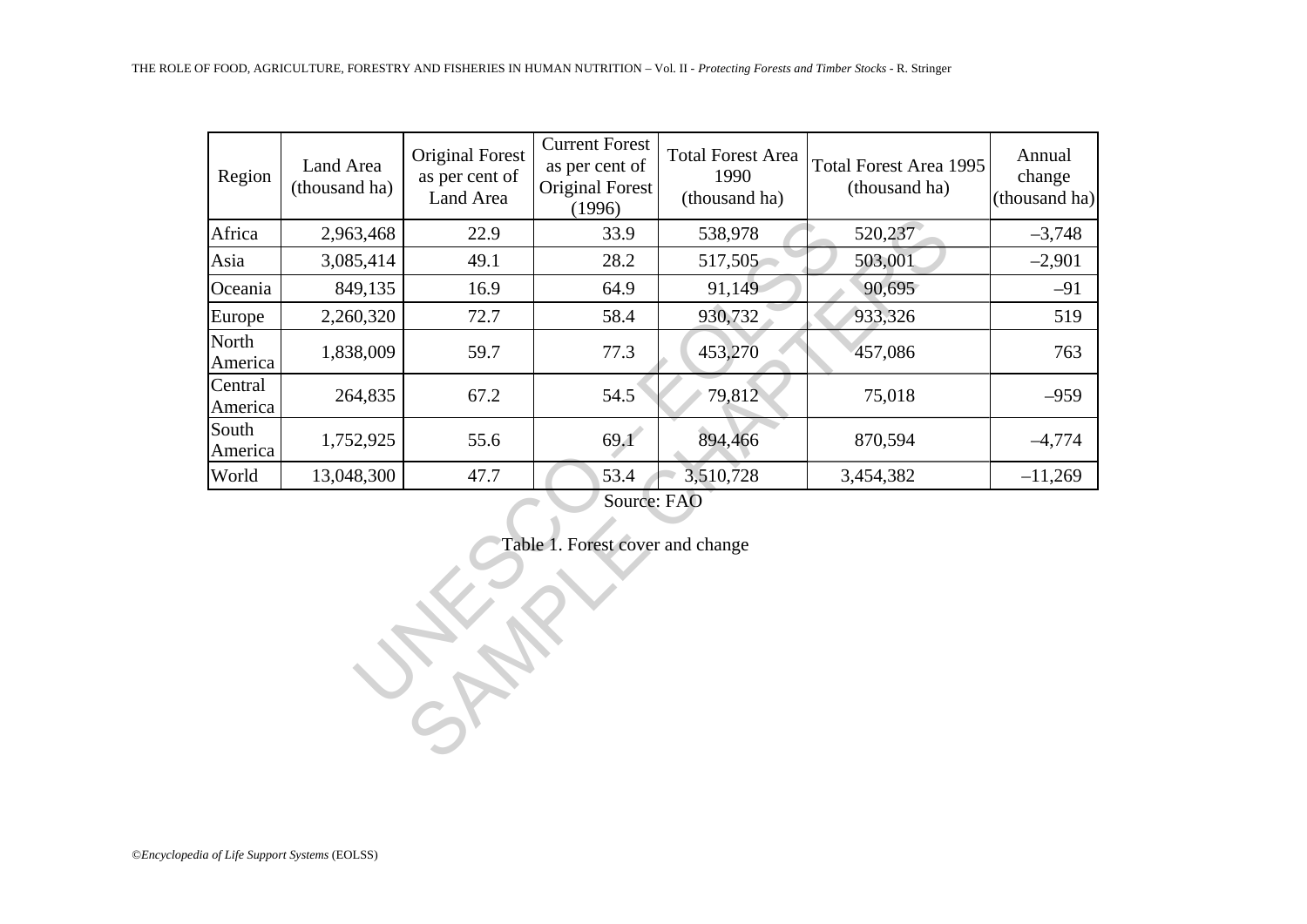| Region             | Land Area<br>(thousand ha) | <b>Original Forest</b><br>as per cent of<br>Land Area | <b>Current Forest</b><br>as per cent of<br>Original Forest<br>(1996) | <b>Total Forest Area</b><br>1990<br>(thousand ha) | <b>Total Forest Area 1995</b><br>(thousand ha) | Annual<br>change<br>(thousand ha) |
|--------------------|----------------------------|-------------------------------------------------------|----------------------------------------------------------------------|---------------------------------------------------|------------------------------------------------|-----------------------------------|
| Africa             | 2,963,468                  | 22.9                                                  | 33.9                                                                 | 538,978                                           | 520,237                                        | $-3,748$                          |
| Asia               | 3,085,414                  | 49.1                                                  | 28.2                                                                 | 517,505                                           | 503,001                                        | $-2,901$                          |
| Oceania            | 849,135                    | 16.9                                                  | 64.9                                                                 | 91,149                                            | 90,695                                         |                                   |
| Europe             | 2,260,320                  | 72.7                                                  | 58.4                                                                 | 930,732                                           | 933,326                                        |                                   |
| North<br>America   | 1,838,009                  | 59.7                                                  | 77.3                                                                 | 453,270                                           | 457,086                                        |                                   |
| Central<br>America | 264,835                    | 67.2                                                  | 54.5                                                                 | 79,812                                            | 75,018                                         | $-959$                            |
| South<br>America   | 1,752,925                  | 55.6                                                  | 69.1                                                                 | 894,466                                           | 870,594                                        | $-4,774$                          |
| World              | 13,048,300                 | 47.7                                                  | 53.4                                                                 | 3,510,728                                         | 3,454,382                                      | $-11,269$                         |
|                    |                            |                                                       | Source: FAO<br>Table 1. Forest cover and change                      |                                                   |                                                |                                   |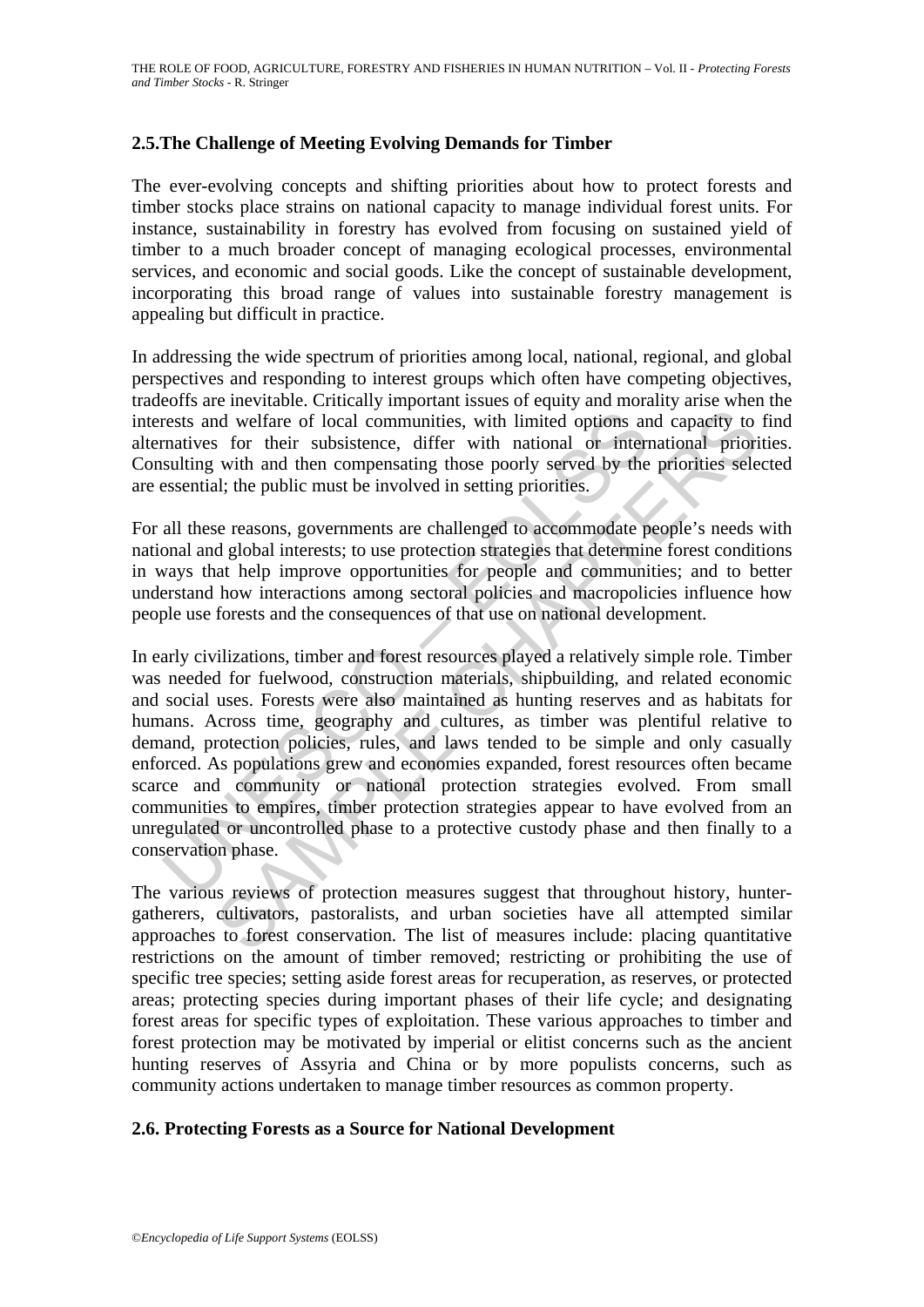# **2.5.The Challenge of Meeting Evolving Demands for Timber**

The ever-evolving concepts and shifting priorities about how to protect forests and timber stocks place strains on national capacity to manage individual forest units. For instance, sustainability in forestry has evolved from focusing on sustained yield of timber to a much broader concept of managing ecological processes, environmental services, and economic and social goods. Like the concept of sustainable development, incorporating this broad range of values into sustainable forestry management is appealing but difficult in practice.

In addressing the wide spectrum of priorities among local, national, regional, and global perspectives and responding to interest groups which often have competing objectives, tradeoffs are inevitable. Critically important issues of equity and morality arise when the interests and welfare of local communities, with limited options and capacity to find alternatives for their subsistence, differ with national or international priorities. Consulting with and then compensating those poorly served by the priorities selected are essential; the public must be involved in setting priorities.

For all these reasons, governments are challenged to accommodate people's needs with national and global interests; to use protection strategies that determine forest conditions in ways that help improve opportunities for people and communities; and to better understand how interactions among sectoral policies and macropolicies influence how people use forests and the consequences of that use on national development.

rests and welfare of local communities, with limited options and<br>matives for their subsistence, differ with national or internalling with and then compensating those poorly served by the<br>essential; the public must be invol and welfare of local communities, with limited options and capacity to<br>s for their subsistence, differ with national or international priori<br>with and then compensating those poorly served by the priorities sele<br>al; the pub In early civilizations, timber and forest resources played a relatively simple role. Timber was needed for fuelwood, construction materials, shipbuilding, and related economic and social uses. Forests were also maintained as hunting reserves and as habitats for humans. Across time, geography and cultures, as timber was plentiful relative to demand, protection policies, rules, and laws tended to be simple and only casually enforced. As populations grew and economies expanded, forest resources often became scarce and community or national protection strategies evolved. From small communities to empires, timber protection strategies appear to have evolved from an unregulated or uncontrolled phase to a protective custody phase and then finally to a conservation phase.

The various reviews of protection measures suggest that throughout history, huntergatherers, cultivators, pastoralists, and urban societies have all attempted similar approaches to forest conservation. The list of measures include: placing quantitative restrictions on the amount of timber removed; restricting or prohibiting the use of specific tree species; setting aside forest areas for recuperation, as reserves, or protected areas; protecting species during important phases of their life cycle; and designating forest areas for specific types of exploitation. These various approaches to timber and forest protection may be motivated by imperial or elitist concerns such as the ancient hunting reserves of Assyria and China or by more populists concerns, such as community actions undertaken to manage timber resources as common property.

### **2.6. Protecting Forests as a Source for National Development**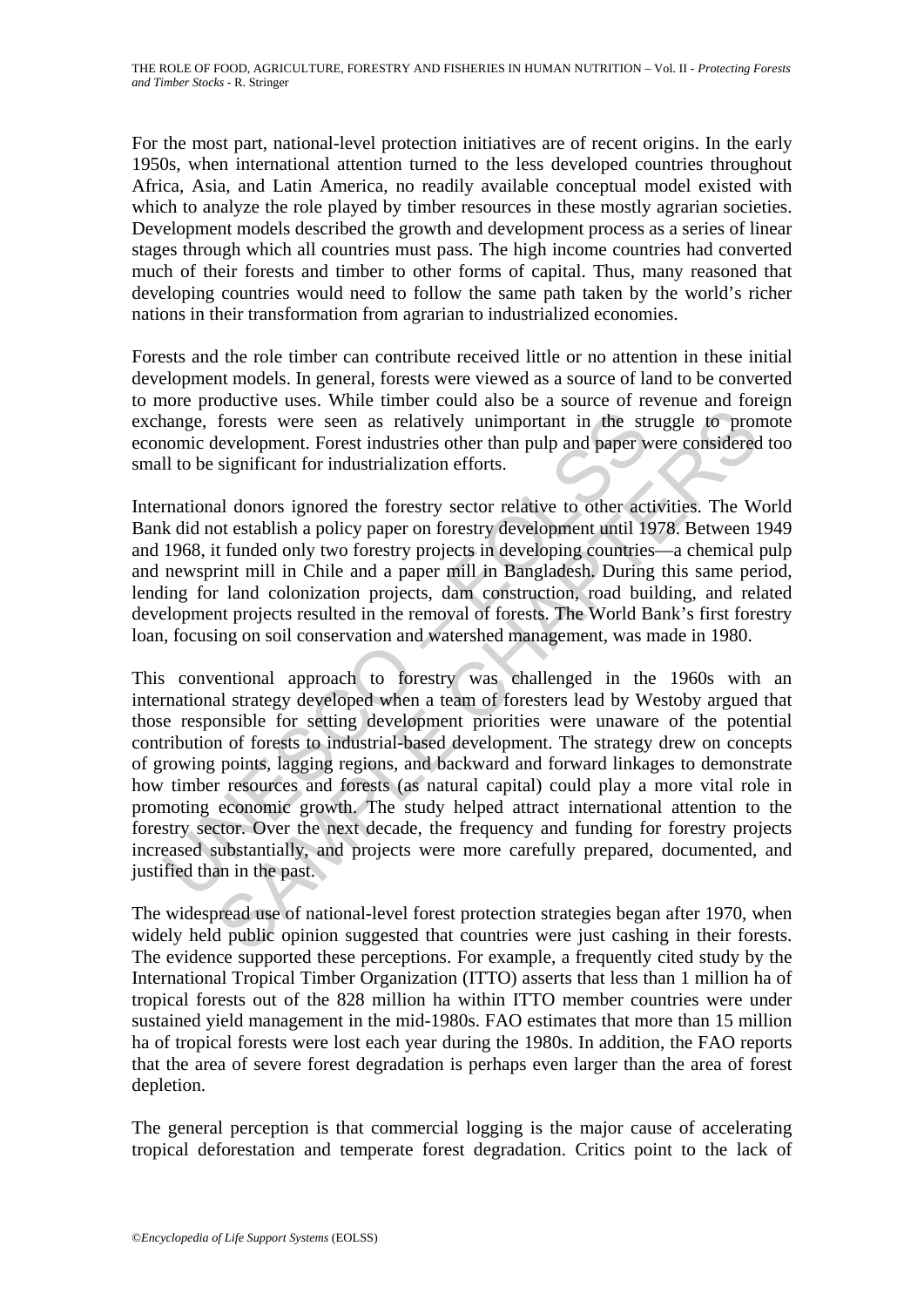For the most part, national-level protection initiatives are of recent origins. In the early 1950s, when international attention turned to the less developed countries throughout Africa, Asia, and Latin America, no readily available conceptual model existed with which to analyze the role played by timber resources in these mostly agrarian societies. Development models described the growth and development process as a series of linear stages through which all countries must pass. The high income countries had converted much of their forests and timber to other forms of capital. Thus, many reasoned that developing countries would need to follow the same path taken by the world's richer nations in their transformation from agrarian to industrialized economies.

Forests and the role timber can contribute received little or no attention in these initial development models. In general, forests were viewed as a source of land to be converted to more productive uses. While timber could also be a source of revenue and foreign exchange, forests were seen as relatively unimportant in the struggle to promote economic development. Forest industries other than pulp and paper were considered too small to be significant for industrialization efforts.

International donors ignored the forestry sector relative to other activities. The World Bank did not establish a policy paper on forestry development until 1978. Between 1949 and 1968, it funded only two forestry projects in developing countries—a chemical pulp and newsprint mill in Chile and a paper mill in Bangladesh. During this same period, lending for land colonization projects, dam construction, road building, and related development projects resulted in the removal of forests. The World Bank's first forestry loan, focusing on soil conservation and watershed management, was made in 1980.

nange, forests were seen as relatively unimportant in the stronic development. Forest industries other than pulp and paper w<br>Il to be significant for industrialization efforts.<br>Trational donors ignored the forestry sector forests were seen as relatively unimportant in the struggle to protevelopment. Forest industries other than pulp and paper were considered significant for industrialization efforts.<br>
al donors ignored the forestry sector r This conventional approach to forestry was challenged in the 1960s with an international strategy developed when a team of foresters lead by Westoby argued that those responsible for setting development priorities were unaware of the potential contribution of forests to industrial-based development. The strategy drew on concepts of growing points, lagging regions, and backward and forward linkages to demonstrate how timber resources and forests (as natural capital) could play a more vital role in promoting economic growth. The study helped attract international attention to the forestry sector. Over the next decade, the frequency and funding for forestry projects increased substantially, and projects were more carefully prepared, documented, and justified than in the past.

The widespread use of national-level forest protection strategies began after 1970, when widely held public opinion suggested that countries were just cashing in their forests. The evidence supported these perceptions. For example, a frequently cited study by the International Tropical Timber Organization (ITTO) asserts that less than 1 million ha of tropical forests out of the 828 million ha within ITTO member countries were under sustained yield management in the mid-1980s. FAO estimates that more than 15 million ha of tropical forests were lost each year during the 1980s. In addition, the FAO reports that the area of severe forest degradation is perhaps even larger than the area of forest depletion.

The general perception is that commercial logging is the major cause of accelerating tropical deforestation and temperate forest degradation. Critics point to the lack of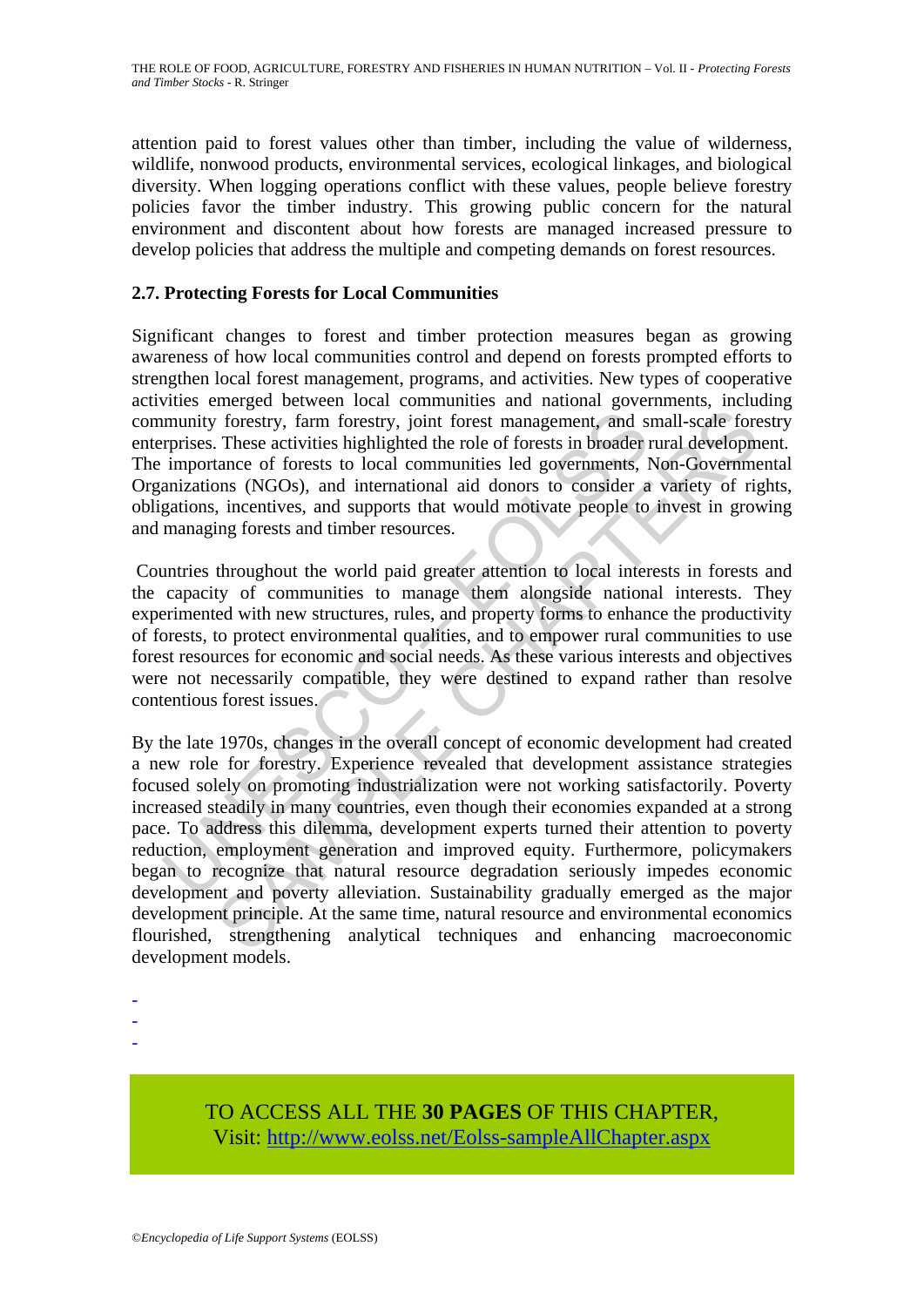attention paid to forest values other than timber, including the value of wilderness, wildlife, nonwood products, environmental services, ecological linkages, and biological diversity. When logging operations conflict with these values, people believe forestry policies favor the timber industry. This growing public concern for the natural environment and discontent about how forests are managed increased pressure to develop policies that address the multiple and competing demands on forest resources.

# **2.7. Protecting Forests for Local Communities**

Significant changes to forest and timber protection measures began as growing awareness of how local communities control and depend on forests prompted efforts to strengthen local forest management, programs, and activities. New types of cooperative activities emerged between local communities and national governments, including community forestry, farm forestry, joint forest management, and small-scale forestry enterprises. These activities highlighted the role of forests in broader rural development. The importance of forests to local communities led governments, Non-Governmental Organizations (NGOs), and international aid donors to consider a variety of rights, obligations, incentives, and supports that would motivate people to invest in growing and managing forests and timber resources.

 Countries throughout the world paid greater attention to local interests in forests and the capacity of communities to manage them alongside national interests. They experimented with new structures, rules, and property forms to enhance the productivity of forests, to protect environmental qualities, and to empower rural communities to use forest resources for economic and social needs. As these various interests and objectives were not necessarily compatible, they were destined to expand rather than resolve contentious forest issues.

munity forestry, farm forestry, joint forest management, and s<br>rprises. These activities highlighted the role of forests in broader r<br>importance of forests to local communities led governments, l<br>anizations (NGOs), and int The forestry, farm forestry, joint forest management, and small-scale forestry, farm forestry, joint forest management, and small-scale forests on local communities led governments, Non-Government and small-scale forests o By the late 1970s, changes in the overall concept of economic development had created a new role for forestry. Experience revealed that development assistance strategies focused solely on promoting industrialization were not working satisfactorily. Poverty increased steadily in many countries, even though their economies expanded at a strong pace. To address this dilemma, development experts turned their attention to poverty reduction, employment generation and improved equity. Furthermore, policymakers began to recognize that natural resource degradation seriously impedes economic development and poverty alleviation. Sustainability gradually emerged as the major development principle. At the same time, natural resource and environmental economics flourished, strengthening analytical techniques and enhancing macroeconomic development models.

- -
- -
- -

TO ACCESS ALL THE **30 PAGES** OF THIS CHAPTER, Visit[: http://www.eolss.net/Eolss-sampleAllChapter.aspx](https://www.eolss.net/ebooklib/sc_cart.aspx?File=E5-01A-02-03)